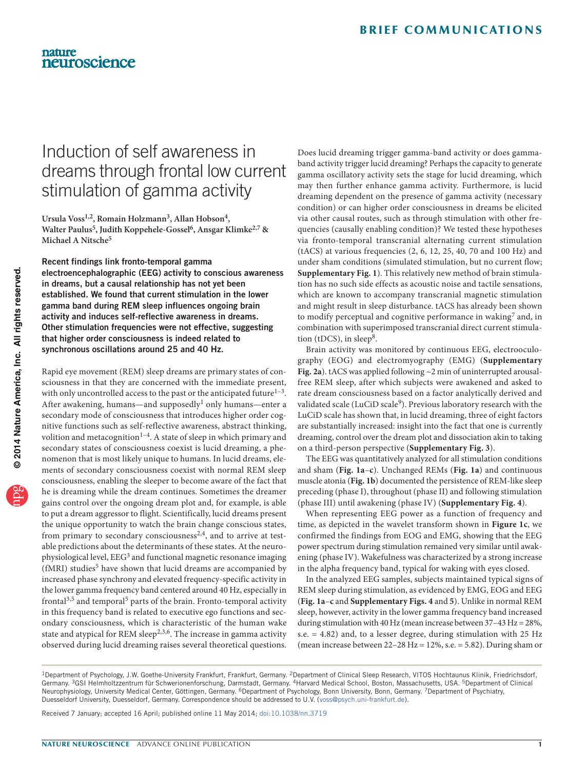# Induction of self awareness in dreams through frontal low current stimulation of gamma activity

**Ursula Voss1,2, Romain Holzmann3, Allan Hobson4, Walter Paulus5, Judith Koppehele-Gossel6, Ansgar Klimke2,7 & Michael A Nitsche5**

Recent findings link fronto-temporal gamma electroencephalographic (EEG) activity to conscious awareness in dreams, but a causal relationship has not yet been established. We found that current stimulation in the lower gamma band during REM sleep influences ongoing brain activity and induces self-reflective awareness in dreams. Other stimulation frequencies were not effective, suggesting that higher order consciousness is indeed related to synchronous oscillations around 25 and 40 Hz.

Rapid eye movement (REM) sleep dreams are primary states of consciousness in that they are concerned with the immediate present, with only uncontrolled access to the past or the anticipated future $1-3$  $1-3$ . After awakening, humans—and supposedly<sup>[1](#page-2-0)</sup> only humans—enter a secondary mode of consciousness that introduces higher order cognitive functions such as self-reflective awareness, abstract thinking, volition and metacognition<sup>1-[4](#page-2-2)</sup>. A state of sleep in which primary and secondary states of consciousness coexist is lucid dreaming, a phenomenon that is most likely unique to humans. In lucid dreams, elements of secondary consciousness coexist with normal REM sleep consciousness, enabling the sleeper to become aware of the fact that he is dreaming while the dream continues. Sometimes the dreamer gains control over the ongoing dream plot and, for example, is able to put a dream aggressor to flight. Scientifically, lucid dreams present the unique opportunity to watch the brain change conscious states, from primary to secondary consciousness<sup>[2,](#page-2-3)4</sup>, and to arrive at testable predictions about the determinants of these states. At the neurophysiological level, EEG[3](#page-2-1) and functional magnetic resonance imaging (fMRI) studies<sup>5</sup> have shown that lucid dreams are accompanied by increased phase synchrony and elevated frequency-specific activity in the lower gamma frequency band centered around 40 Hz, especially in frontal<sup>[3,](#page-2-1)5</sup> and temporal<sup>5</sup> parts of the brain. Fronto-temporal activity in this frequency band is related to executive ego functions and secondary consciousness, which is characteristic of the human wake state and atypical for REM sleep<sup>[2,](#page-2-3)[3,](#page-2-1)6</sup>. The increase in gamma activity observed during lucid dreaming raises several theoretical questions.

Does lucid dreaming trigger gamma-band activity or does gammaband activity trigger lucid dreaming? Perhaps the capacity to generate gamma oscillatory activity sets the stage for lucid dreaming, which may then further enhance gamma activity. Furthermore, is lucid dreaming dependent on the presence of gamma activity (necessary condition) or can higher order consciousness in dreams be elicited via other causal routes, such as through stimulation with other frequencies (causally enabling condition)? We tested these hypotheses via fronto-temporal transcranial alternating current stimulation (tACS) at various frequencies (2, 6, 12, 25, 40, 70 and 100 Hz) and under sham conditions (simulated stimulation, but no current flow; **Supplementary Fig. 1**). This relatively new method of brain stimulation has no such side effects as acoustic noise and tactile sensations, which are known to accompany transcranial magnetic stimulation and might result in sleep disturbance. tACS has already been shown to modify perceptual and cognitive performance in waking<sup>7</sup> and, in combination with superimposed transcranial direct current stimulation (tDCS), in sleep<sup>8</sup>.

Brain activity was monitored by continuous EEG, electrooculography (EOG) and electromyography (EMG) (**Supplementary Fig. 2a**). tACS was applied following ~2 min of uninterrupted arousalfree REM sleep, after which subjects were awakened and asked to rate dream consciousness based on a factor analytically derived and validated scale (LuCiD scale<sup>[9](#page-2-8)</sup>). Previous laboratory research with the LuCiD scale has shown that, in lucid dreaming, three of eight factors are substantially increased: insight into the fact that one is currently dreaming, control over the dream plot and dissociation akin to taking on a third-person perspective (**Supplementary Fig. 3**).

The EEG was quantitatively analyzed for all stimulation conditions and sham (**[Fig. 1a](#page-1-0)**–**c**). Unchanged REMs (**[Fig. 1a](#page-1-0)**) and continuous muscle atonia (**[Fig. 1b](#page-1-0)**) documented the persistence of REM-like sleep preceding (phase I), throughout (phase II) and following stimulation (phase III) until awakening (phase IV) (**Supplementary Fig. 4**).

When representing EEG power as a function of frequency and time, as depicted in the wavelet transform shown in **[Figure 1c](#page-1-0)**, we confirmed the findings from EOG and EMG, showing that the EEG power spectrum during stimulation remained very similar until awakening (phase IV). Wakefulness was characterized by a strong increase in the alpha frequency band, typical for waking with eyes closed.

In the analyzed EEG samples, subjects maintained typical signs of REM sleep during stimulation, as evidenced by EMG, EOG and EEG (**[Fig. 1a](#page-1-0)**–**c** and **Supplementary Figs. 4** and **5**). Unlike in normal REM sleep, however, activity in the lower gamma frequency band increased during stimulation with 40 Hz (mean increase between  $37-43$  Hz =  $28\%$ , s.e. = 4.82) and, to a lesser degree, during stimulation with 25 Hz (mean increase between  $22-28$  Hz =  $12\%$ , s.e. = 5.82). During sham or

Received 7 January; accepted 16 April; published online 11 May 2014; [doi:10.1038/nn.3719](http://www.nature.com/doifinder/10.1038/nn.3719)

<sup>&</sup>lt;sup>1</sup>Department of Psychology, J.W. Goethe-University Frankfurt, Frankfurt, Germany. <sup>2</sup>Department of Clinical Sleep Research, VITOS Hochtaunus Klinik, Friedrichsdorf, Germany. 3GSI Helmholtzzentrum für Schwerionenforschung, Darmstadt, Germany. 4Harvard Medical School, Boston, Massachusetts, USA. 5Department of Clinical Neurophysiology, University Medical Center, Göttingen, Germany. <sup>6</sup>Department of Psychology, Bonn University, Bonn, Germany. <sup>7</sup>Department of Psychiatry, Duesseldorf University, Duesseldorf, Germany. Correspondence should be addressed to U.V. (voss@psych.uni-frankfurt.de).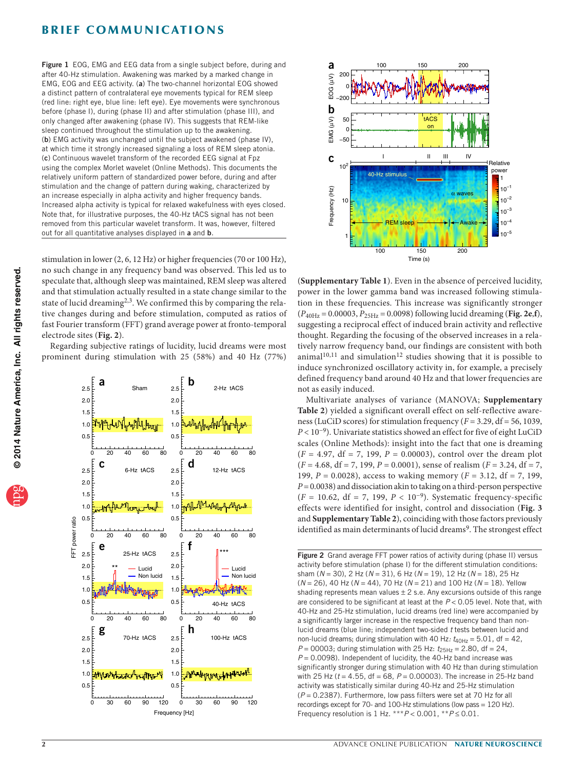## **BRIEF COMMUNICATIONS**

<span id="page-1-0"></span>Figure 1 EOG, EMG and EEG data from a single subject before, during and after 40-Hz stimulation. Awakening was marked by a marked change in EMG, EOG and EEG activity. (a) The two-channel horizontal EOG showed a distinct pattern of contralateral eye movements typical for REM sleep (red line: right eye, blue line: left eye). Eye movements were synchronous before (phase I), during (phase II) and after stimulation (phase III), and only changed after awakening (phase IV). This suggests that REM-like sleep continued throughout the stimulation up to the awakening. (b) EMG activity was unchanged until the subject awakened (phase IV), at which time it strongly increased signaling a loss of REM sleep atonia. (c) Continuous wavelet transform of the recorded EEG signal at Fpz using the complex Morlet wavelet (Online Methods). This documents the relatively uniform pattern of standardized power before, during and after stimulation and the change of pattern during waking, characterized by an increase especially in alpha activity and higher frequency bands. Increased alpha activity is typical for relaxed wakefulness with eyes closed. Note that, for illustrative purposes, the 40-Hz tACS signal has not been removed from this particular wavelet transform. It was, however, filtered out for all quantitative analyses displayed in a and **b**.

stimulation in lower (2, 6, 12 Hz) or higher frequencies (70 or 100 Hz), no such change in any frequency band was observed. This led us to speculate that, although sleep was maintained, REM sleep was altered and that stimulation actually resulted in a state change similar to the state of lucid dreaming<sup>[2,](#page-2-3)[3](#page-2-1)</sup>. We confirmed this by comparing the relative changes during and before stimulation, computed as ratios of fast Fourier transform (FFT) grand average power at fronto-temporal electrode sites (**[Fig. 2](#page-1-1)**).

Regarding subjective ratings of lucidity, lucid dreams were most prominent during stimulation with 25 (58%) and 40 Hz (77%)





(**Supplementary Table 1**). Even in the absence of perceived lucidity, power in the lower gamma band was increased following stimulation in these frequencies. This increase was significantly stronger  $(P_{40\text{Hz}} = 0.00003, P_{25\text{Hz}} = 0.0098)$  following lucid dreaming ([Fig. 2e](#page-1-1),f), suggesting a reciprocal effect of induced brain activity and reflective thought. Regarding the focusing of the observed increases in a relatively narrow frequency band, our findings are consistent with both animal<sup>[10,](#page-2-9)[11](#page-2-10)</sup> and simulation<sup>12</sup> studies showing that it is possible to induce synchronized oscillatory activity in, for example, a precisely defined frequency band around 40 Hz and that lower frequencies are not as easily induced.

Multivariate analyses of variance (MANOVA; **Supplementary Table 2**) yielded a significant overall effect on self-reflective awareness (LuCiD scores) for stimulation frequency (*F* = 3.29, df = 56, 1039, *P* < 10<sup>−9</sup>). Univariate statistics showed an effect for five of eight LuCiD scales (Online Methods): insight into the fact that one is dreaming  $(F = 4.97, df = 7, 199, P = 0.00003)$ , control over the dream plot (*F* = 4.68, df = 7, 199, *P* = 0.0001), sense of realism (*F* = 3.24, df = 7, 199, *P* = 0.0028), access to waking memory (*F* = 3.12, df = 7, 199, *P* = 0.0038) and dissociation akin to taking on a third-person perspective (*F* = 10.62, df = 7, 199, *P* < 10−9). Systematic frequency-specific effects were identified for insight, control and dissociation (**[Fig. 3](#page-2-12)** and **Supplementary Table 2**), coinciding with those factors previously identified as main determinants of lucid dreams<sup>[9](#page-2-8)</sup>. The strongest effect

<span id="page-1-1"></span>Figure 2 Grand average FFT power ratios of activity during (phase II) versus activity before stimulation (phase I) for the different stimulation conditions: sham (*N* = 30), 2 Hz (*N* = 31), 6 Hz (*N* = 19), 12 Hz (*N* = 18), 25 Hz (*N* = 26), 40 Hz (*N* = 44), 70 Hz (*N* = 21) and 100 Hz (*N* = 18). Yellow shading represents mean values  $\pm 2$  s.e. Any excursions outside of this range are considered to be significant at least at the *P* < 0.05 level. Note that, with 40-Hz and 25-Hz stimulation, lucid dreams (red line) were accompanied by a significantly larger increase in the respective frequency band than nonlucid dreams (blue line; independent two-sided *t* tests between lucid and non-lucid dreams; during stimulation with 40 Hz:  $t_{40Hz} = 5.01$ , df = 42,  $P = 00003$ ; during stimulation with 25 Hz:  $t_{25\text{Hz}} = 2.80$ , df = 24, *P* = 0.0098). Independent of lucidity, the 40-Hz band increase was significantly stronger during stimulation with 40 Hz than during stimulation with 25 Hz (*t* = 4.55, df = 68, *P* = 0.00003). The increase in 25-Hz band activity was statistically similar during 40-Hz and 25-Hz stimulation (*P* = 0.2387). Furthermore, low pass filters were set at 70 Hz for all recordings except for 70- and 100-Hz stimulations (low pass = 120 Hz). Frequency resolution is 1 Hz. \*\*\**P* < 0.001, \*\**P* ≤ 0.01.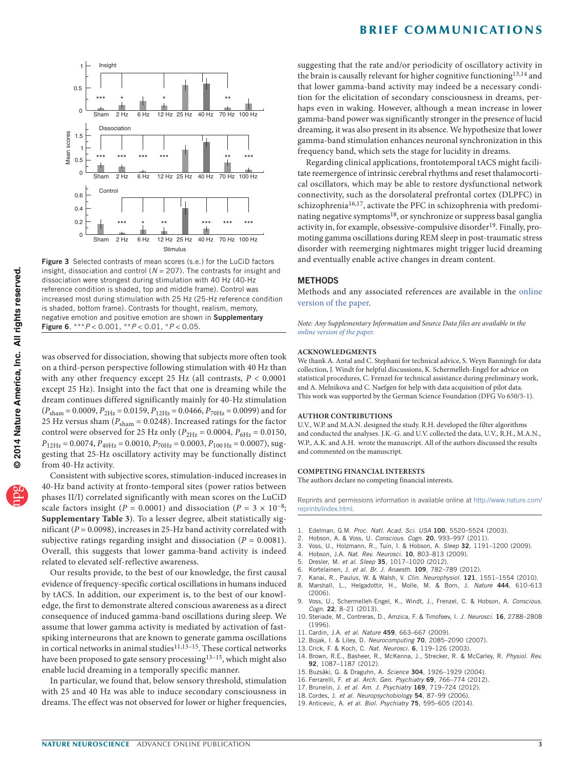



<span id="page-2-12"></span>Figure 3 Selected contrasts of mean scores (s.e.) for the LuCiD factors insight, dissociation and control ( $N = 207$ ). The contrasts for insight and dissociation were strongest during stimulation with 40 Hz (40-Hz reference condition is shaded, top and middle frame). Control was increased most during stimulation with 25 Hz (25-Hz reference condition is shaded, bottom frame). Contrasts for thought, realism, memory, negative emotion and positive emotion are shown in Supplementary Figure 6. \*\*\**P* < 0.001, \*\**P* < 0.01, \**P* < 0.05.

was observed for dissociation, showing that subjects more often took on a third-person perspective following stimulation with 40 Hz than with any other frequency except 25 Hz (all contrasts, *P* < 0.0001 except 25 Hz). Insight into the fact that one is dreaming while the dream continues differed significantly mainly for 40-Hz stimulation  $(P_{\text{sham}} = 0.0009, P_{\text{2Hz}} = 0.0159, P_{\text{12Hz}} = 0.0466, P_{\text{70Hz}} = 0.0099$ ) and for 25 Hz versus sham ( $P_{\text{sham}}$  = 0.0248). Increased ratings for the factor control were observed for 25 Hz only ( $P_{2\text{Hz}} = 0.0004$ ,  $P_{6\text{Hz}} = 0.0150$ ,  $P_{12\text{Hz}} = 0.0074$ ,  $P_{40\text{Hz}} = 0.0010$ ,  $P_{70\text{Hz}} = 0.0003$ ,  $P_{100\text{ Hz}} = 0.0007$ ), suggesting that 25-Hz oscillatory activity may be functionally distinct from 40-Hz activity.

Consistent with subjective scores, stimulation-induced increases in 40-Hz band activity at fronto-temporal sites (power ratios between phases II/I) correlated significantly with mean scores on the LuCiD scale factors insight ( $P = 0.0001$ ) and dissociation ( $P = 3 \times 10^{-8}$ ; **Supplementary Table 3**). To a lesser degree, albeit statistically significant (*P* = 0.0098), increases in 25-Hz band activity correlated with subjective ratings regarding insight and dissociation (*P* = 0.0081). Overall, this suggests that lower gamma-band activity is indeed related to elevated self-reflective awareness.

Our results provide, to the best of our knowledge, the first causal evidence of frequency-specific cortical oscillations in humans induced by tACS. In addition, our experiment is, to the best of our knowledge, the first to demonstrate altered conscious awareness as a direct consequence of induced gamma-band oscillations during sleep. We assume that lower gamma activity is mediated by activation of fastspiking interneurons that are known to generate gamma oscillations in cortical networks in animal studies $11,13-15$  $11,13-15$ . These cortical networks have been proposed to gate sensory processing<sup>13-15</sup>, which might also enable lucid dreaming in a temporally specific manner.

In particular, we found that, below sensory threshold, stimulation with 25 and 40 Hz was able to induce secondary consciousness in dreams. The effect was not observed for lower or higher frequencies, suggesting that the rate and/or periodicity of oscillatory activity in the brain is causally relevant for higher cognitive functioning<sup>[13,](#page-2-13)[14](#page-2-15)</sup> and that lower gamma-band activity may indeed be a necessary condition for the elicitation of secondary consciousness in dreams, perhaps even in waking. However, although a mean increase in lower gamma-band power was significantly stronger in the presence of lucid dreaming, it was also present in its absence. We hypothesize that lower gamma-band stimulation enhances neuronal synchronization in this frequency band, which sets the stage for lucidity in dreams.

Regarding clinical applications, frontotemporal tACS might facilitate reemergence of intrinsic cerebral rhythms and reset thalamocortical oscillators, which may be able to restore dysfunctional network connectivity, such as the dorsolateral prefrontal cortex (DLPFC) in schizophrenia<sup>[16,](#page-2-16)[17](#page-2-17)</sup>, activate the PFC in schizophrenia with predomi-nating negative symptoms<sup>[18](#page-2-18)</sup>, or synchronize or suppress basal ganglia activity in, for example, obsessive-compulsive disorder<sup>[19](#page-2-19)</sup>. Finally, promoting gamma oscillations during REM sleep in post-traumatic stress disorder with reemerging nightmares might trigger lucid dreaming and eventually enable active changes in dream content.

### **METHODS**

Methods and any associated references are available in the [online](http://www.nature.com/doifinder/10.1038/nn.3719) [version](http://www.nature.com/doifinder/10.1038/nn.3719) of the paper.

*Note: Any Supplementary Information and Source Data files are available in the online [version](http://www.nature.com/doifinder/10.1038/nn.3719) of the paper.*

#### **Acknowledgments**

We thank A. Antal and C. Stephani for technical advice, S. Weyn Banningh for data collection, J. Windt for helpful discussions, K. Schermelleh-Engel for advice on statistical procedures, C. Frenzel for technical assistance during preliminary work, and A. Melnikova and C. Naefgen for help with data acquisition of pilot data. This work was supported by the German Science Foundation (DFG Vo 650/5-1).

#### **AUTHOR CONTRIBUTIONS**

U.V., W.P. and M.A.N. designed the study. R.H. developed the filter algorithms and conducted the analyses. J.K.-G. and U.V. collected the data, U.V., R.H., M.A.N., W.P., A.K. and A.H. wrote the manuscript. All of the authors discussed the results and commented on the manuscript.

#### **COMPETING FINANCIAL INTERESTS**

The authors declare no competing financial interests.

Reprints and permissions information is available online at [http://www.nature.com/](http://www.nature.com/reprints/index.html) [reprints/index.html.](http://www.nature.com/reprints/index.html)

- <span id="page-2-0"></span>1. Edelman, G.M. *Proc. Natl. Acad. Sci. USA* 100, 5520–5524 (2003).
- <span id="page-2-3"></span>2. Hobson, A. & Voss, U. *Conscious. Cogn.* 20, 993–997 (2011).
- <span id="page-2-1"></span>3. Voss, U., Holzmann, R., Tuin, I. & Hobson, A. *Sleep* 32, 1191–1200 (2009).
- <span id="page-2-2"></span>4. Hobson, J.A. *Nat. Rev. Neurosci.* 10, 803–813 (2009).
- <span id="page-2-4"></span>5. Dresler, M. *et al. Sleep* 35, 1017–1020 (2012).
- <span id="page-2-5"></span>6. Kortelainen, J. *et al. Br. J. Anaesth.* 109, 782–789 (2012).
- <span id="page-2-7"></span>
- <span id="page-2-6"></span>7. Kanai, R., Paulus, W. & Walsh, V. *Clin. Neurophysiol.* 121, 1551–1554 (2010). 8. Marshall, L., Helgadottir, H., Molle, M. & Born, J. *Nature* 444, 610–613 (2006).
- <span id="page-2-8"></span>9. Voss, U., Schermelleh-Engel, K., Windt, J., Frenzel, C. & Hobson, A. *Conscious. Cogn.* 22, 8–21 (2013).
- <span id="page-2-9"></span>10. Steriade, M., Contreras, D., Amzica, F. & Timofeev, I. *J. Neurosci.* 16, 2788–2808 (1996).
- <span id="page-2-10"></span>11. Cardin, J.A. *et al. Nature* 459, 663–667 (2009).
- <span id="page-2-11"></span>12. Bojak, I. & Liley, D. *Neurocomputing* 70, 2085–2090 (2007).
- <span id="page-2-13"></span>13. Crick, F. & Koch, C. *Nat. Neurosci.* 6, 119–126 (2003).
- <span id="page-2-15"></span>14. Brown, R.E., Basheer, R., McKenna, J., Strecker, R. & McCarley, R. *Physiol. Rev.* 92, 1087–1187 (2012).
- <span id="page-2-14"></span>15. Buzsáki, G. & Draguhn, A. *Science* 304, 1926–1929 (2004).
- <span id="page-2-16"></span>16. Ferrarelli, F. *et al. Arch. Gen. Psychiatry* 69, 766–774 (2012).
- <span id="page-2-17"></span>17. Brunelin, J. *et al. Am. J. Psychiatry* 169, 719–724 (2012).
- <span id="page-2-18"></span>18. Cordes, J. *et al. Neuropsychobiology* 54, 87–99 (2006).
- <span id="page-2-19"></span>19. Anticevic, A. *et al. Biol. Psychiatry* 75, 595–605 (2014).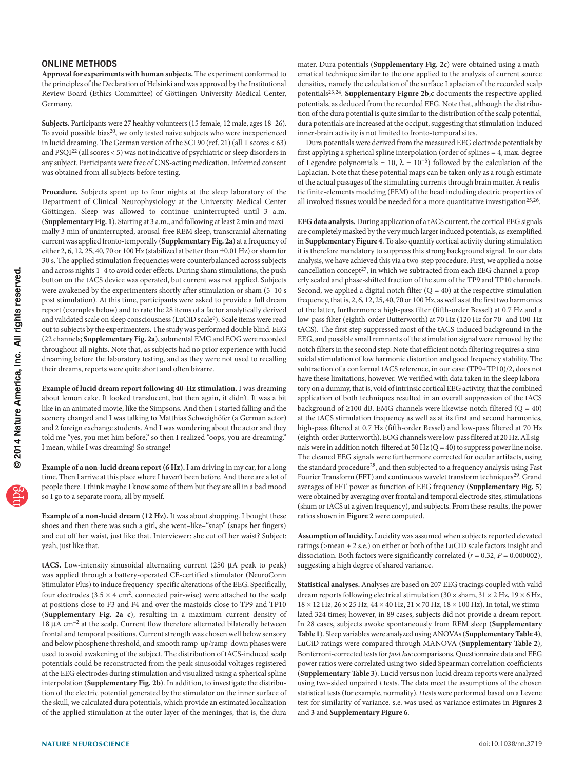#### ONLINE METHODS

**Approval for experiments with human subjects.** The experiment conformed to the principles of the Declaration of Helsinki and was approved by the Institutional Review Board (Ethics Committee) of Göttingen University Medical Center, Germany.

**Subjects.** Participants were 27 healthy volunteers (15 female, 12 male, ages 18–26). To avoid possible bias[20](#page-4-0), we only tested naive subjects who were inexperienced in lucid dreaming. The German version of the SCL90 (ref. [21\)](#page-4-1) (all T scores < 63) and PSQI<sup>[22](#page-4-2)</sup> (all scores < 5) was not indicative of psychiatric or sleep disorders in any subject. Participants were free of CNS-acting medication. Informed consent was obtained from all subjects before testing.

**Procedure.** Subjects spent up to four nights at the sleep laboratory of the Department of Clinical Neurophysiology at the University Medical Center Göttingen. Sleep was allowed to continue uninterrupted until 3 a.m. (**Supplementary Fig. 1**). Starting at 3 a.m., and following at least 2 min and maximally 3 min of uninterrupted, arousal-free REM sleep, transcranial alternating current was applied fronto-temporally (**Supplementary Fig. 2a**) at a frequency of either 2, 6, 12, 25, 40, 70 or 100 Hz (stabilized at better than ±0.01 Hz) or sham for 30 s. The applied stimulation frequencies were counterbalanced across subjects and across nights 1–4 to avoid order effects. During sham stimulations, the push button on the tACS device was operated, but current was not applied. Subjects were awakened by the experimenters shortly after stimulation or sham (5–10 s post stimulation). At this time, participants were asked to provide a full dream report (examples below) and to rate the 28 items of a factor analytically derived and validated scale on sleep consciousness (LuCiD scale<sup>[9](#page-2-8)</sup>). Scale items were read out to subjects by the experimenters. The study was performed double blind. EEG (22 channels; **Supplementary Fig. 2a**), submental EMG and EOG were recorded throughout all nights. Note that, as subjects had no prior experience with lucid dreaming before the laboratory testing, and as they were not used to recalling their dreams, reports were quite short and often bizarre.

**Example of lucid dream report following 40-Hz stimulation.** I was dreaming about lemon cake. It looked translucent, but then again, it didn't. It was a bit like in an animated movie, like the Simpsons. And then I started falling and the scenery changed and I was talking to Matthias Schweighöfer (a German actor) and 2 foreign exchange students. And I was wondering about the actor and they told me "yes, you met him before," so then I realized "oops, you are dreaming." I mean, while I was dreaming! So strange!

**Example of a non-lucid dream report (6 Hz).** I am driving in my car, for a long time. Then I arrive at this place where I haven't been before. And there are a lot of people there. I think maybe I know some of them but they are all in a bad mood so I go to a separate room, all by myself.

**Example of a non-lucid dream (12 Hz).** It was about shopping. I bought these shoes and then there was such a girl, she went–like–"snap" (snaps her fingers) and cut off her waist, just like that. Interviewer: she cut off her waist? Subject: yeah, just like that.

**tACS.** Low-intensity sinusoidal alternating current (250 µA peak to peak) was applied through a battery-operated CE-certified stimulator (NeuroConn Stimulator Plus) to induce frequency-specific alterations of the EEG. Specifically, four electrodes ( $3.5 \times 4$  cm<sup>2</sup>, connected pair-wise) were attached to the scalp at positions close to F3 and F4 and over the mastoids close to TP9 and TP10 (**Supplementary Fig. 2a**–**c**), resulting in a maximum current density of  $18 \mu A \text{ cm}^{-2}$  at the scalp. Current flow therefore alternated bilaterally between frontal and temporal positions. Current strength was chosen well below sensory and below phosphene threshold, and smooth ramp-up/ramp-down phases were used to avoid awakening of the subject. The distribution of tACS-induced scalp potentials could be reconstructed from the peak sinusoidal voltages registered at the EEG electrodes during stimulation and visualized using a spherical spline interpolation (**Supplementary Fig. 2b**). In addition, to investigate the distribution of the electric potential generated by the stimulator on the inner surface of the skull, we calculated dura potentials, which provide an estimated localization of the applied stimulation at the outer layer of the meninges, that is, the dura

mater. Dura potentials (**Supplementary Fig. 2c**) were obtained using a mathematical technique similar to the one applied to the analysis of current source densities, namely the calculation of the surface Laplacian of the recorded scalp potentials[23,](#page-4-3)[24.](#page-4-4) **Supplementary Figure 2b**,**c** documents the respective applied potentials, as deduced from the recorded EEG. Note that, although the distribution of the dura potential is quite similar to the distribution of the scalp potential, dura potentials are increased at the occiput, suggesting that stimulation-induced inner-brain activity is not limited to fronto-temporal sites.

Dura potentials were derived from the measured EEG electrode potentials by first applying a spherical spline interpolation (order of splines = 4, max. degree of Legendre polynomials = 10,  $\lambda = 10^{-5}$ ) followed by the calculation of the Laplacian. Note that these potential maps can be taken only as a rough estimate of the actual passages of the stimulating currents through brain matter. A realistic finite-elements modeling (FEM) of the head including electric properties of all involved tissues would be needed for a more quantitative investigation<sup>25,[26](#page-4-6)</sup>.

**EEG data analysis.** During application of a tACS current, the cortical EEG signals are completely masked by the very much larger induced potentials, as exemplified in **Supplementary Figure 4**. To also quantify cortical activity during stimulation it is therefore mandatory to suppress this strong background signal. In our data analysis, we have achieved this via a two-step procedure. First, we applied a noise cancellation concept<sup>27</sup>, in which we subtracted from each EEG channel a properly scaled and phase-shifted fraction of the sum of the TP9 and TP10 channels. Second, we applied a digital notch filter  $(Q = 40)$  at the respective stimulation frequency, that is, 2, 6, 12, 25, 40, 70 or 100 Hz, as well as at the first two harmonics of the latter, furthermore a high-pass filter (fifth-order Bessel) at 0.7 Hz and a low-pass filter (eighth-order Butterworth) at 70 Hz (120 Hz for 70- and 100-Hz tACS). The first step suppressed most of the tACS-induced background in the EEG, and possible small remnants of the stimulation signal were removed by the notch filters in the second step. Note that efficient notch filtering requires a sinusoidal stimulation of low harmonic distortion and good frequency stability. The subtraction of a conformal tACS reference, in our case (TP9+TP10)/2, does not have these limitations, however. We verified with data taken in the sleep laboratory on a dummy, that is, void of intrinsic cortical EEG activity, that the combined application of both techniques resulted in an overall suppression of the tACS background of  ${\geq}100$  dB. EMG channels were likewise notch filtered (Q = 40) at the tACS stimulation frequency as well as at its first and second harmonics, high-pass filtered at 0.7 Hz (fifth-order Bessel) and low-pass filtered at 70 Hz (eighth-order Butterworth). EOG channels were low-pass filtered at 20 Hz. All signals were in addition notch-filtered at  $50$  Hz ( $Q = 40$ ) to suppress power line noise. The cleaned EEG signals were furthermore corrected for ocular artifacts, using the standard procedure<sup>28</sup>, and then subjected to a frequency analysis using Fast Fourier Transform (FFT) and continuous wavelet transform techniques<sup>[29](#page-4-9)</sup>. Grand averages of FFT power as function of EEG frequency (**Supplementary Fig. 5**) were obtained by averaging over frontal and temporal electrode sites, stimulations (sham or tACS at a given frequency), and subjects. From these results, the power ratios shown in **[Figure 2](#page-1-1)** were computed.

**Assumption of lucidity.** Lucidity was assumed when subjects reported elevated ratings (>mean + 2 s.e.) on either or both of the LuCiD scale factors insight and dissociation. Both factors were significantly correlated (*r* = 0.32, *P* = 0.000002), suggesting a high degree of shared variance.

**Statistical analyses.** Analyses are based on 207 EEG tracings coupled with valid dream reports following electrical stimulation (30  $\times$  sham, 31  $\times$  2 Hz, 19  $\times$  6 Hz, 18 × 12 Hz, 26 × 25 Hz, 44 × 40 Hz, 21 × 70 Hz, 18 × 100 Hz). In total, we stimulated 324 times; however, in 89 cases, subjects did not provide a dream report. In 28 cases, subjects awoke spontaneously from REM sleep (**Supplementary Table 1**). Sleep variables were analyzed using ANOVAs (**Supplementary Table 4**), LuCiD ratings were compared through MANOVA (**Supplementary Table 2**), Bonferroni-corrected tests for *post hoc* comparisons. Questionnaire data and EEG power ratios were correlated using two-sided Spearman correlation coefficients (**Supplementary Table 3**). Lucid versus non-lucid dream reports were analyzed using two-sided unpaired *t* tests. The data meet the assumptions of the chosen statistical tests (for example, normality). *t* tests were performed based on a Levene test for similarity of variance. s.e. was used as variance estimates in **[Figures 2](#page-1-1)**  [and](#page-1-1) **3** and **Supplementary Figure 6**.